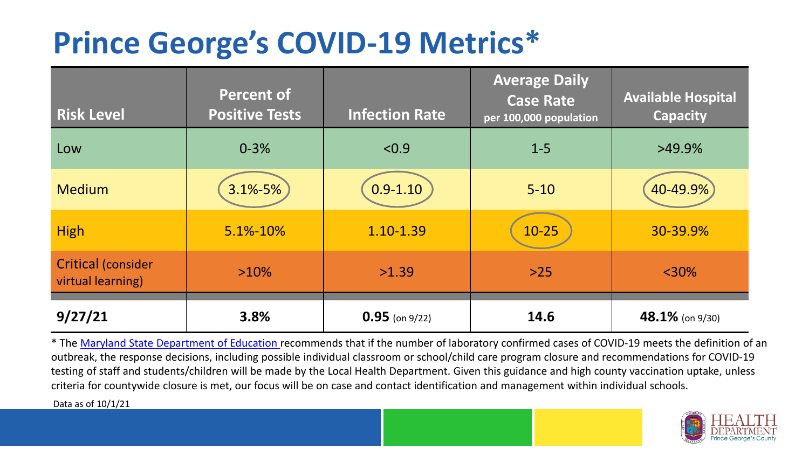## **Prince George's COVID-19 Metrics\***

| <b>Risk Level</b>                              | <b>Percent of</b><br><b>Positive Tests</b> | <b>Infection Rate</b> | <b>Average Daily</b><br><b>Case Rate</b><br>per 100,000 population | <b>Available Hospital</b><br><b>Capacity</b> |
|------------------------------------------------|--------------------------------------------|-----------------------|--------------------------------------------------------------------|----------------------------------------------|
| Low                                            | $0 - 3%$                                   | < 0.9                 | $1 - 5$                                                            | $>49.9\%$                                    |
| <b>Medium</b>                                  | $3.1\% - 5\%$                              | $0.9 - 1.10$          | $5 - 10$                                                           | 40-49.9%                                     |
| <b>High</b>                                    | 5.1%-10%                                   | 1.10-1.39             | $10 - 25$                                                          | 30-39.9%                                     |
| <b>Critical (consider</b><br>virtual learning) | $>10\%$                                    | >1.39                 | $>25$                                                              | $<$ 30%                                      |
| 9/27/21                                        | 3.8%                                       | $0.95$ (on 9/22)      | 14.6                                                               | 48.1% (on 9/30)                              |

\* The [Maryland State Department of Education r](https://earlychildhood.marylandpublicschools.org/system/files/filedepot/3/covid_guidance_full_080420.pdf)ecommends that if the number of laboratory confirmed cases of COVID-19 meets the definition of an outbreak, the response decisions, including possible individual classroom or school/child care program closure and recommendations for COVID-19 testing of staff and students/children will be made by the Local Health Department. Given this guidance and high county vaccination uptake, unless criteria for countywide closure is met, our focus will be on case and contact identification and management within individual schools.

Data as of 10/1/21

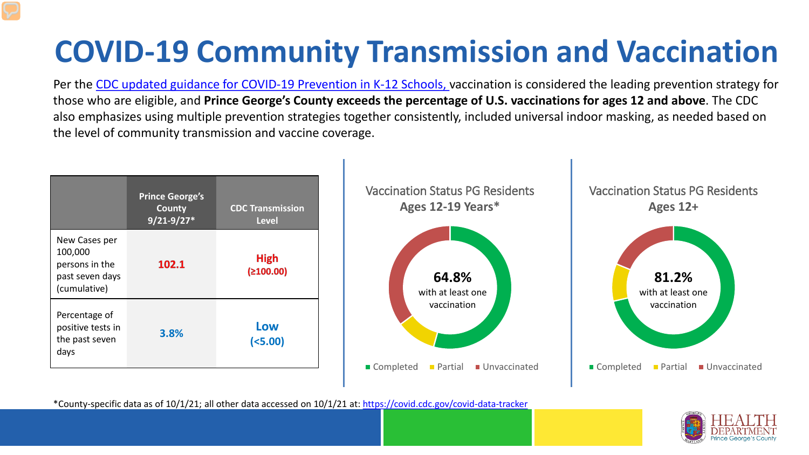# **COVID-19 Community Transmission and Vaccination**

Per the [CDC updated guidance for COVID-19 Prevention in K-12 Schools,](https://www.cdc.gov/coronavirus/2019-ncov/community/schools-childcare/k-12-guidance.html) vaccination is considered the leading prevention strategy for those who are eligible, and **Prince George's County exceeds the percentage of U.S. vaccinations for ages 12 and above**. The CDC also emphasizes using multiple prevention strategies together consistently, included universal indoor masking, as needed based on the level of community transmission and vaccine coverage.



\*County-specific data as of 10/1/21; all other data accessed on 10/1/21 at:<https://covid.cdc.gov/covid-data-tracker>

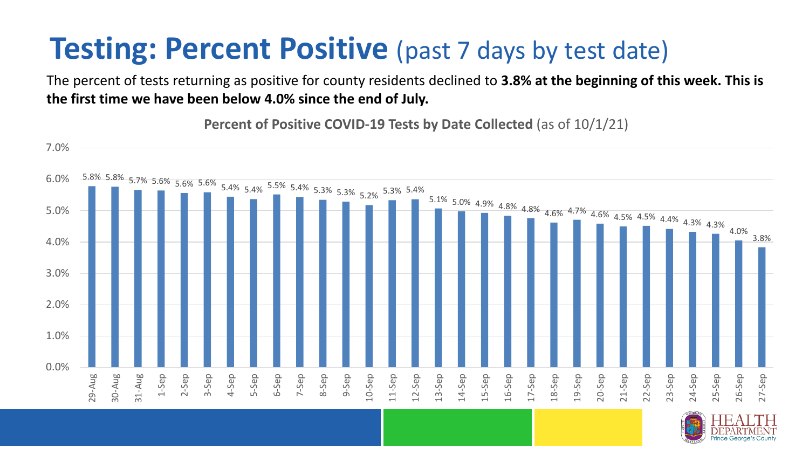### **Testing: Percent Positive** (past 7 days by test date)

The percent of tests returning as positive for county residents declined to **3.8% at the beginning of this week. This is the first time we have been below 4.0% since the end of July.**

**Percent of Positive COVID-19 Tests by Date Collected** (as of 10/1/21)

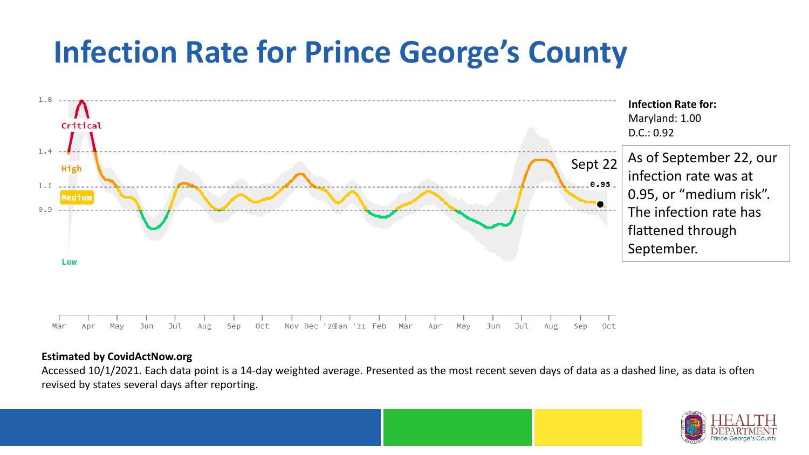### **Infection Rate for Prince George's County**



#### **Estimated by CovidActNow.org**

Accessed 10/1/2021. Each data point is a 14-day weighted average. Presented as the most recent seven days of data as a dashed line, as data is often revised by states several days after reporting.

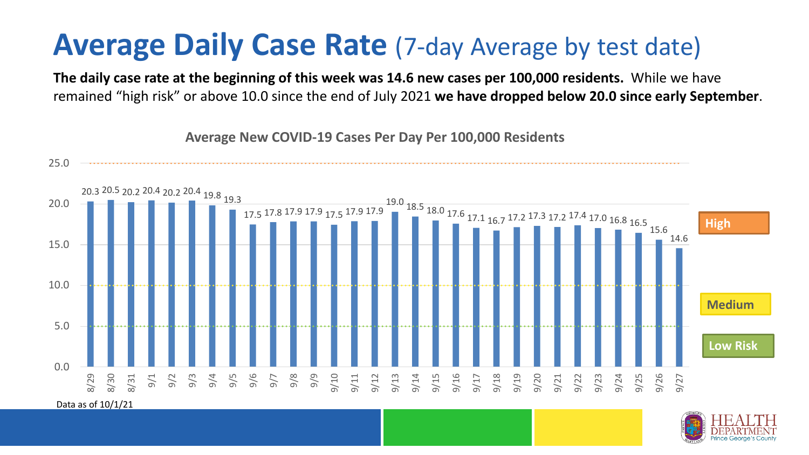#### **Average Daily Case Rate** (7-day Average by test date)

**The daily case rate at the beginning of this week was 14.6 new cases per 100,000 residents.** While we have remained "high risk" or above 10.0 since the end of July 2021 **we have dropped below 20.0 since early September**.



**Average New COVID-19 Cases Per Day Per 100,000 Residents**